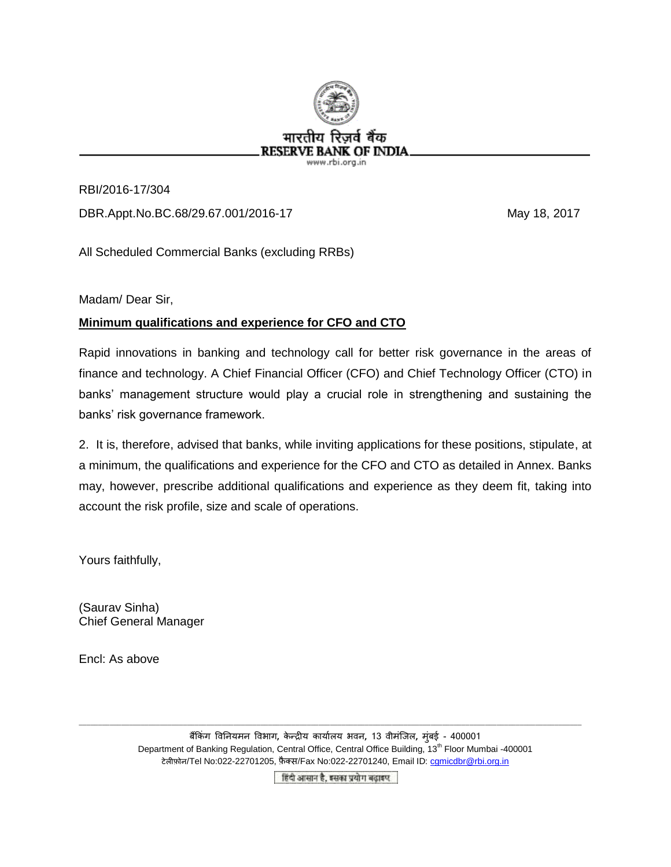

RBI/2016-17/304 DBR.Appt.No.BC.68/29.67.001/2016-17 May 18, 2017

All Scheduled Commercial Banks (excluding RRBs)

Madam/ Dear Sir,

## **Minimum qualifications and experience for CFO and CTO**

Rapid innovations in banking and technology call for better risk governance in the areas of finance and technology. A Chief Financial Officer (CFO) and Chief Technology Officer (CTO) in banks' management structure would play a crucial role in strengthening and sustaining the banks' risk governance framework.

2. It is, therefore, advised that banks, while inviting applications for these positions, stipulate, at a minimum, the qualifications and experience for the CFO and CTO as detailed in Annex. Banks may, however, prescribe additional qualifications and experience as they deem fit, taking into account the risk profile, size and scale of operations.

Yours faithfully,

(Saurav Sinha) Chief General Manager

Encl: As above

बकैं िंग विनियमि विभाग**,** े न्द्रीय ायाालय भिि**,** 13 िीमिंजिल**,** म िंबई - 400001 Department of Banking Regulation, Central Office, Central Office Building, 13<sup>th</sup> Floor Mumbai -400001 टेलीफ़ोन/Tel No:022-22701205, फ़ैक्स/Fax No:022-22701240, Email ID: comicdbr@rbi.org.in

\_\_\_\_\_\_\_\_\_\_\_\_\_\_\_\_\_\_\_\_\_\_\_\_\_\_\_\_\_\_\_\_\_\_\_\_\_\_\_\_\_\_\_\_\_\_\_\_\_\_\_\_\_\_\_\_\_\_\_\_\_\_\_\_\_\_\_\_\_\_\_\_\_\_\_\_\_\_\_\_\_\_\_\_\_\_\_\_\_\_\_\_\_\_\_\_\_\_\_\_\_\_\_\_\_\_\_\_\_\_\_\_\_\_\_\_\_\_\_\_\_\_\_\_\_\_\_\_\_\_

हिंदी आसान है, इसका प्रयोग बढ़ाइए